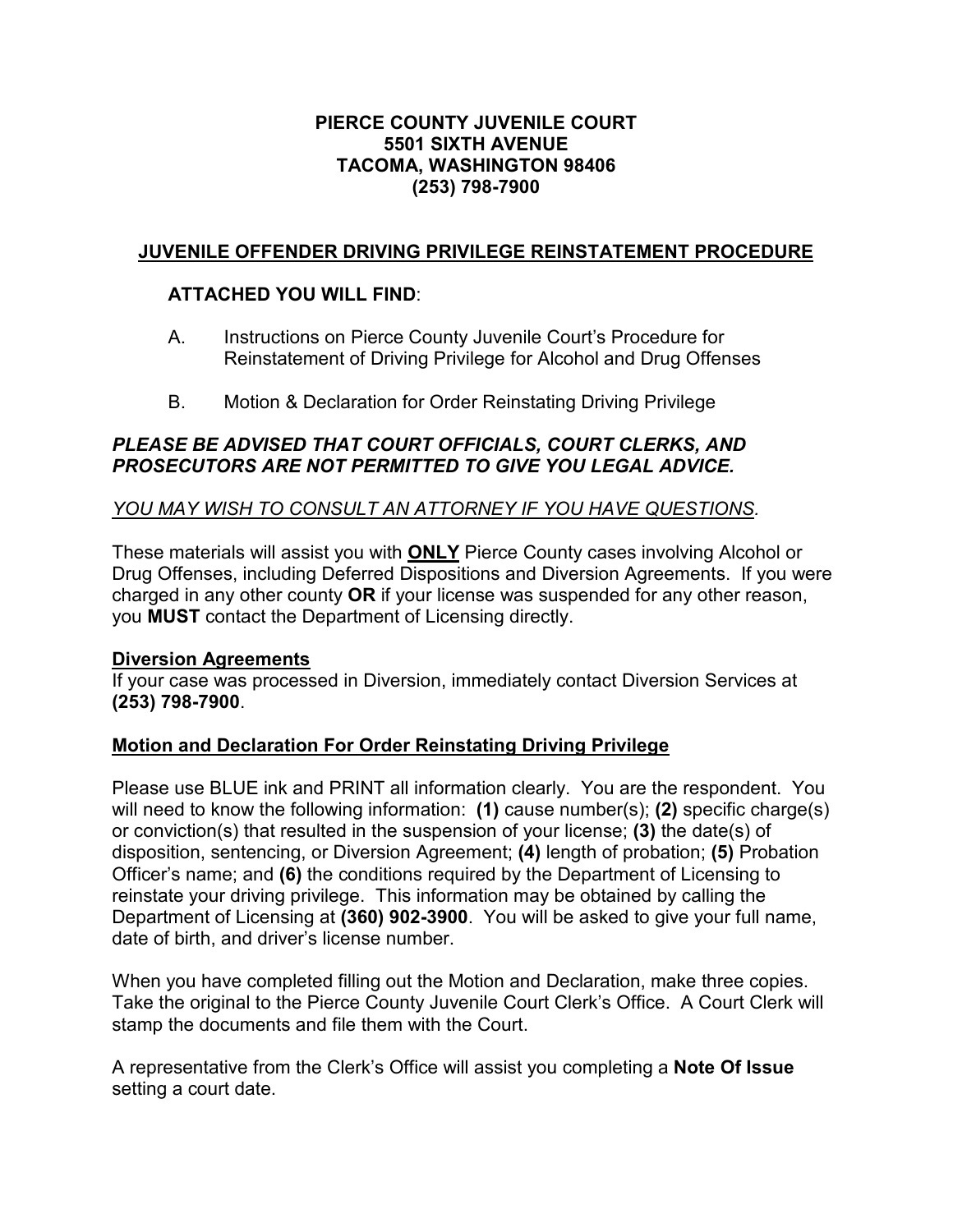### PIERCE COUNTY JUVENILE COURT 5501 SIXTH AVENUE TACOMA, WASHINGTON 98406 (253) 798-7900

# JUVENILE OFFENDER DRIVING PRIVILEGE REINSTATEMENT PROCEDURE

## ATTACHED YOU WILL FIND:

- A. Instructions on Pierce County Juvenile Court's Procedure for Reinstatement of Driving Privilege for Alcohol and Drug Offenses
- B. Motion & Declaration for Order Reinstating Driving Privilege

## PLEASE BE ADVISED THAT COURT OFFICIALS, COURT CLERKS, AND PROSECUTORS ARE NOT PERMITTED TO GIVE YOU LEGAL ADVICE.

## YOU MAY WISH TO CONSULT AN ATTORNEY IF YOU HAVE QUESTIONS.

These materials will assist you with ONLY Pierce County cases involving Alcohol or Drug Offenses, including Deferred Dispositions and Diversion Agreements. If you were charged in any other county OR if your license was suspended for any other reason, you MUST contact the Department of Licensing directly.

### Diversion Agreements

If your case was processed in Diversion, immediately contact Diversion Services at (253) 798-7900.

### Motion and Declaration For Order Reinstating Driving Privilege

Please use BLUE ink and PRINT all information clearly. You are the respondent. You will need to know the following information: (1) cause number(s); (2) specific charge(s) or conviction(s) that resulted in the suspension of your license; (3) the date(s) of disposition, sentencing, or Diversion Agreement; (4) length of probation; (5) Probation Officer's name; and (6) the conditions required by the Department of Licensing to reinstate your driving privilege. This information may be obtained by calling the Department of Licensing at (360) 902-3900. You will be asked to give your full name, date of birth, and driver's license number.

When you have completed filling out the Motion and Declaration, make three copies. Take the original to the Pierce County Juvenile Court Clerk's Office. A Court Clerk will stamp the documents and file them with the Court.

A representative from the Clerk's Office will assist you completing a Note Of Issue setting a court date.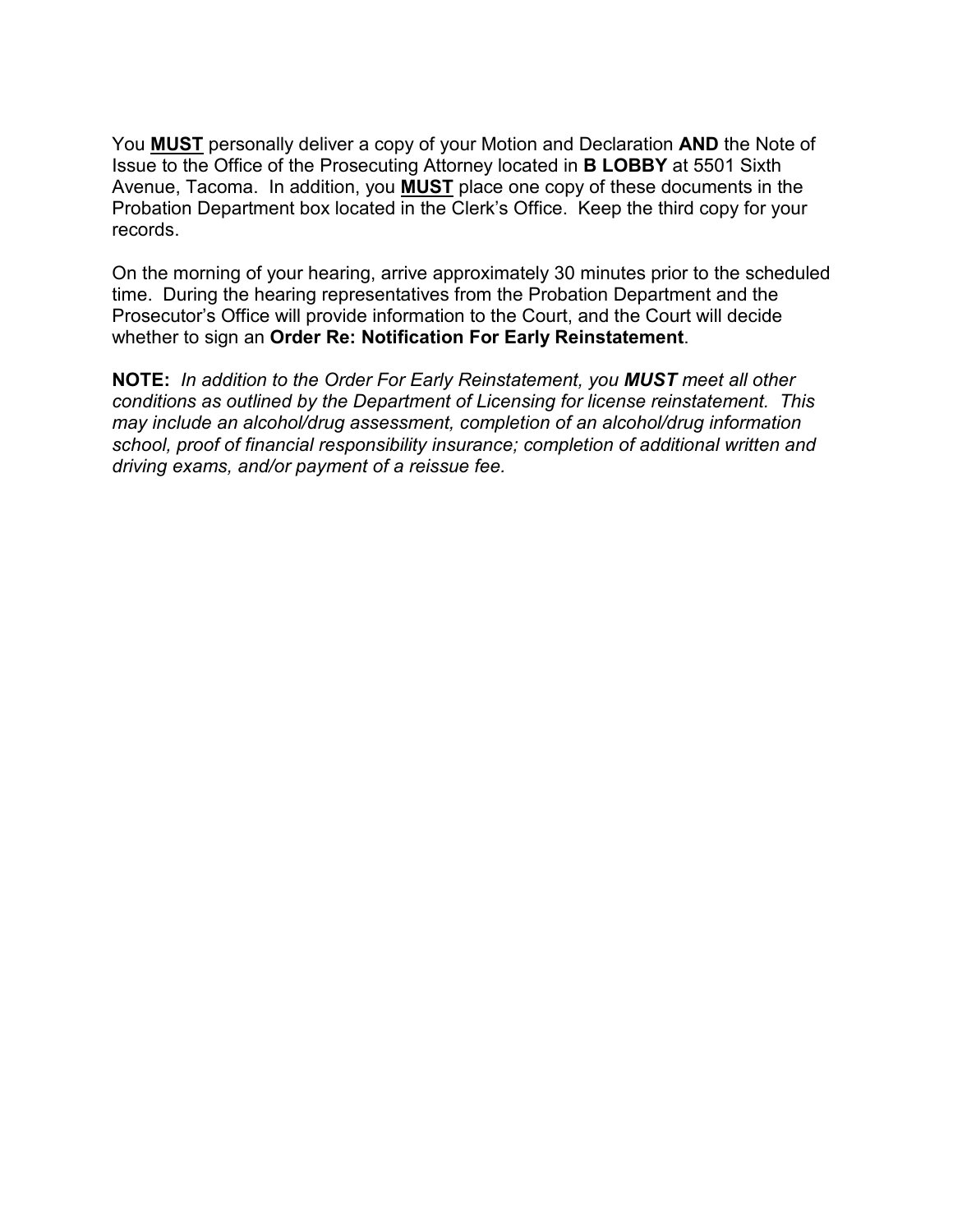You **MUST** personally deliver a copy of your Motion and Declaration **AND** the Note of Issue to the Office of the Prosecuting Attorney located in B LOBBY at 5501 Sixth Avenue, Tacoma. In addition, you **MUST** place one copy of these documents in the Probation Department box located in the Clerk's Office. Keep the third copy for your records.

On the morning of your hearing, arrive approximately 30 minutes prior to the scheduled time. During the hearing representatives from the Probation Department and the Prosecutor's Office will provide information to the Court, and the Court will decide whether to sign an Order Re: Notification For Early Reinstatement.

NOTE: In addition to the Order For Early Reinstatement, you MUST meet all other conditions as outlined by the Department of Licensing for license reinstatement. This may include an alcohol/drug assessment, completion of an alcohol/drug information school, proof of financial responsibility insurance; completion of additional written and driving exams, and/or payment of a reissue fee.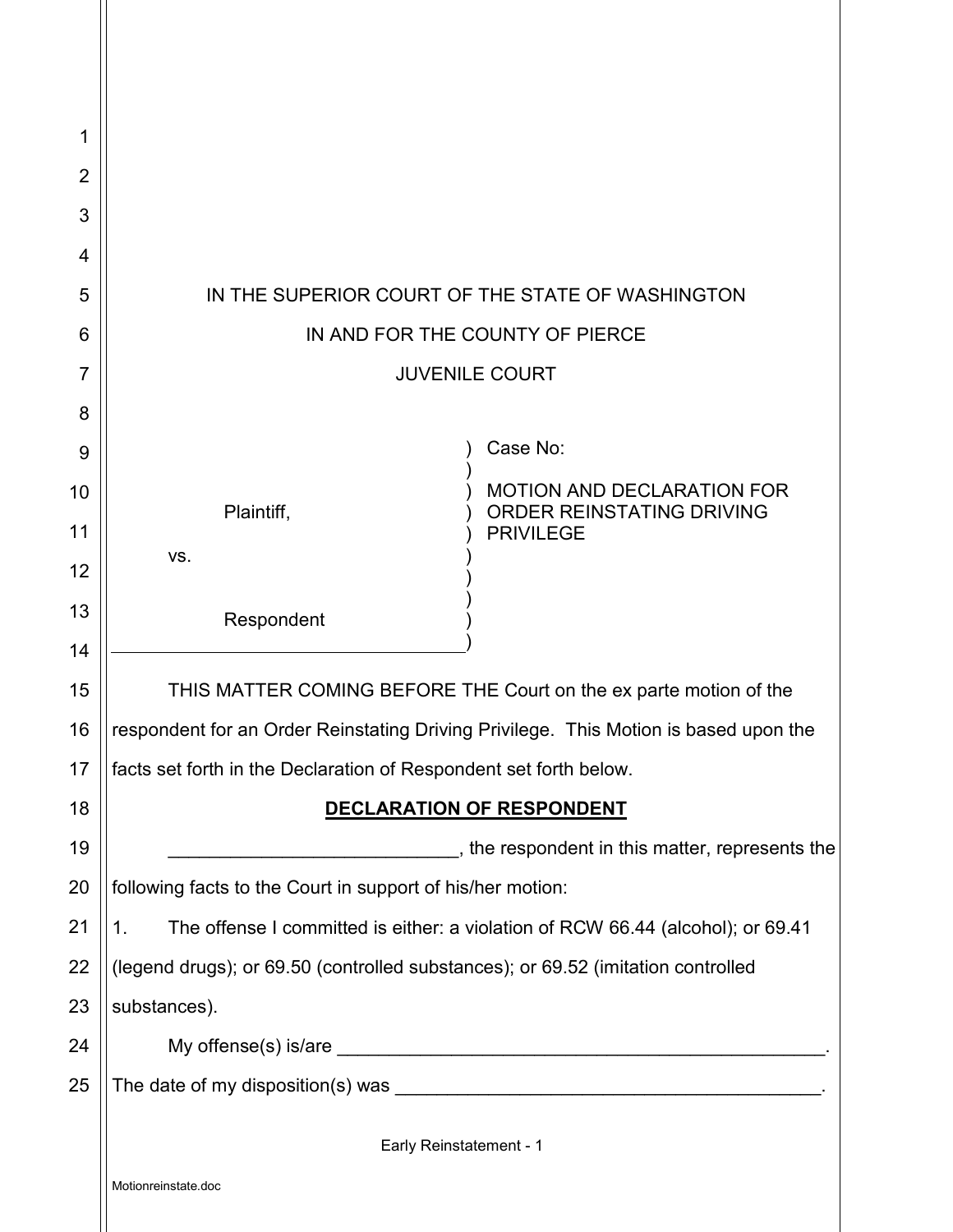| 1              |                                                                                        |  |  |  |
|----------------|----------------------------------------------------------------------------------------|--|--|--|
| $\overline{2}$ |                                                                                        |  |  |  |
| 3              |                                                                                        |  |  |  |
| $\overline{4}$ |                                                                                        |  |  |  |
| 5              | IN THE SUPERIOR COURT OF THE STATE OF WASHINGTON                                       |  |  |  |
| 6              | IN AND FOR THE COUNTY OF PIERCE                                                        |  |  |  |
| 7              | <b>JUVENILE COURT</b>                                                                  |  |  |  |
| 8              |                                                                                        |  |  |  |
| 9              | Case No:                                                                               |  |  |  |
| 10             | <b>MOTION AND DECLARATION FOR</b><br>ORDER REINSTATING DRIVING<br>Plaintiff,           |  |  |  |
| 11             | <b>PRIVILEGE</b>                                                                       |  |  |  |
| 12             | VS.                                                                                    |  |  |  |
| 13             | Respondent                                                                             |  |  |  |
| 14             |                                                                                        |  |  |  |
| 15             | THIS MATTER COMING BEFORE THE Court on the ex parte motion of the                      |  |  |  |
| 16             | respondent for an Order Reinstating Driving Privilege. This Motion is based upon the   |  |  |  |
| 17             | facts set forth in the Declaration of Respondent set forth below.                      |  |  |  |
| 18             | DECLARATION OF RESPONDENT                                                              |  |  |  |
| 19             | The respondent in this matter, represents the espondent in this matter, represents the |  |  |  |
| 20             | following facts to the Court in support of his/her motion:                             |  |  |  |
| 21             | The offense I committed is either: a violation of RCW 66.44 (alcohol); or 69.41<br>1.  |  |  |  |
| 22             | (legend drugs); or 69.50 (controlled substances); or 69.52 (imitation controlled       |  |  |  |
| 23             | substances).                                                                           |  |  |  |
| 24             |                                                                                        |  |  |  |
| 25             |                                                                                        |  |  |  |
|                | Early Reinstatement - 1                                                                |  |  |  |
|                | Motionreinstate.doc                                                                    |  |  |  |